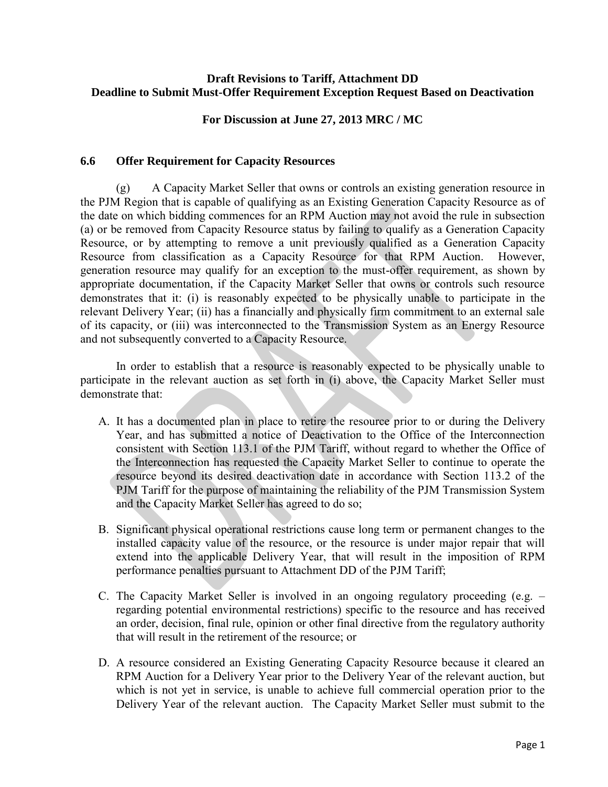## **Draft Revisions to Tariff, Attachment DD Deadline to Submit Must-Offer Requirement Exception Request Based on Deactivation**

**For Discussion at June 27, 2013 MRC / MC**

## **6.6 Offer Requirement for Capacity Resources**

 (g) A Capacity Market Seller that owns or controls an existing generation resource in the PJM Region that is capable of qualifying as an Existing Generation Capacity Resource as of the date on which bidding commences for an RPM Auction may not avoid the rule in subsection (a) or be removed from Capacity Resource status by failing to qualify as a Generation Capacity Resource, or by attempting to remove a unit previously qualified as a Generation Capacity Resource from classification as a Capacity Resource for that RPM Auction. However, generation resource may qualify for an exception to the must-offer requirement, as shown by appropriate documentation, if the Capacity Market Seller that owns or controls such resource demonstrates that it: (i) is reasonably expected to be physically unable to participate in the relevant Delivery Year; (ii) has a financially and physically firm commitment to an external sale of its capacity, or (iii) was interconnected to the Transmission System as an Energy Resource and not subsequently converted to a Capacity Resource.

 In order to establish that a resource is reasonably expected to be physically unable to participate in the relevant auction as set forth in (i) above, the Capacity Market Seller must demonstrate that:

- A. It has a documented plan in place to retire the resource prior to or during the Delivery Year, and has submitted a notice of Deactivation to the Office of the Interconnection consistent with Section 113.1 of the PJM Tariff, without regard to whether the Office of the Interconnection has requested the Capacity Market Seller to continue to operate the resource beyond its desired deactivation date in accordance with Section 113.2 of the PJM Tariff for the purpose of maintaining the reliability of the PJM Transmission System and the Capacity Market Seller has agreed to do so;
- B. Significant physical operational restrictions cause long term or permanent changes to the installed capacity value of the resource, or the resource is under major repair that will extend into the applicable Delivery Year, that will result in the imposition of RPM performance penalties pursuant to Attachment DD of the PJM Tariff;
- C. The Capacity Market Seller is involved in an ongoing regulatory proceeding (e.g. regarding potential environmental restrictions) specific to the resource and has received an order, decision, final rule, opinion or other final directive from the regulatory authority that will result in the retirement of the resource; or
- D. A resource considered an Existing Generating Capacity Resource because it cleared an RPM Auction for a Delivery Year prior to the Delivery Year of the relevant auction, but which is not yet in service, is unable to achieve full commercial operation prior to the Delivery Year of the relevant auction. The Capacity Market Seller must submit to the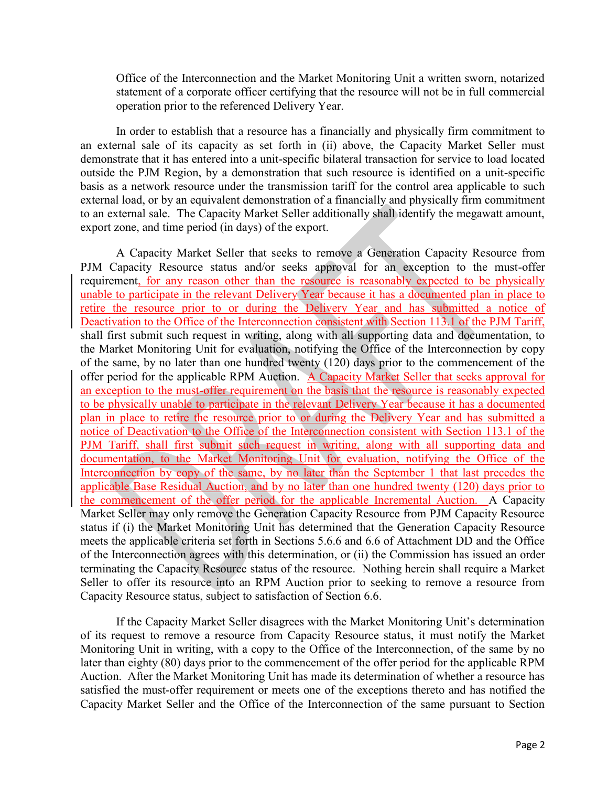Office of the Interconnection and the Market Monitoring Unit a written sworn, notarized statement of a corporate officer certifying that the resource will not be in full commercial operation prior to the referenced Delivery Year.

In order to establish that a resource has a financially and physically firm commitment to an external sale of its capacity as set forth in (ii) above, the Capacity Market Seller must demonstrate that it has entered into a unit-specific bilateral transaction for service to load located outside the PJM Region, by a demonstration that such resource is identified on a unit-specific basis as a network resource under the transmission tariff for the control area applicable to such external load, or by an equivalent demonstration of a financially and physically firm commitment to an external sale. The Capacity Market Seller additionally shall identify the megawatt amount, export zone, and time period (in days) of the export.

A Capacity Market Seller that seeks to remove a Generation Capacity Resource from PJM Capacity Resource status and/or seeks approval for an exception to the must-offer requirement, for any reason other than the resource is reasonably expected to be physically unable to participate in the relevant Delivery Year because it has a documented plan in place to retire the resource prior to or during the Delivery Year and has submitted a notice of Deactivation to the Office of the Interconnection consistent with Section 113.1 of the PJM Tariff, shall first submit such request in writing, along with all supporting data and documentation, to the Market Monitoring Unit for evaluation, notifying the Office of the Interconnection by copy of the same, by no later than one hundred twenty (120) days prior to the commencement of the offer period for the applicable RPM Auction. A Capacity Market Seller that seeks approval for an exception to the must-offer requirement on the basis that the resource is reasonably expected to be physically unable to participate in the relevant Delivery Year because it has a documented plan in place to retire the resource prior to or during the Delivery Year and has submitted a notice of Deactivation to the Office of the Interconnection consistent with Section 113.1 of the PJM Tariff, shall first submit such request in writing, along with all supporting data and documentation, to the Market Monitoring Unit for evaluation, notifying the Office of the Interconnection by copy of the same, by no later than the September 1 that last precedes the applicable Base Residual Auction, and by no later than one hundred twenty (120) days prior to the commencement of the offer period for the applicable Incremental Auction. A Capacity Market Seller may only remove the Generation Capacity Resource from PJM Capacity Resource status if (i) the Market Monitoring Unit has determined that the Generation Capacity Resource meets the applicable criteria set forth in Sections 5.6.6 and 6.6 of Attachment DD and the Office of the Interconnection agrees with this determination, or (ii) the Commission has issued an order terminating the Capacity Resource status of the resource. Nothing herein shall require a Market Seller to offer its resource into an RPM Auction prior to seeking to remove a resource from Capacity Resource status, subject to satisfaction of Section 6.6.

If the Capacity Market Seller disagrees with the Market Monitoring Unit's determination of its request to remove a resource from Capacity Resource status, it must notify the Market Monitoring Unit in writing, with a copy to the Office of the Interconnection, of the same by no later than eighty (80) days prior to the commencement of the offer period for the applicable RPM Auction. After the Market Monitoring Unit has made its determination of whether a resource has satisfied the must-offer requirement or meets one of the exceptions thereto and has notified the Capacity Market Seller and the Office of the Interconnection of the same pursuant to Section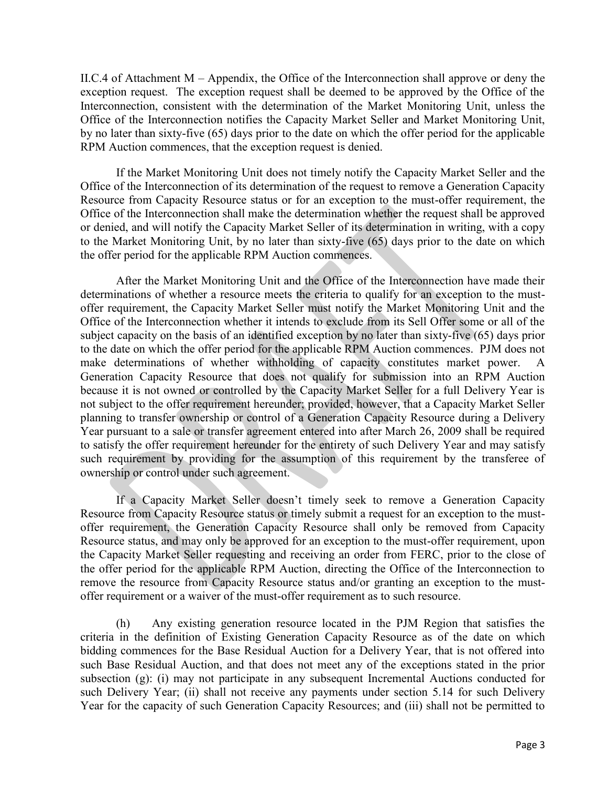II.C.4 of Attachment M – Appendix, the Office of the Interconnection shall approve or deny the exception request. The exception request shall be deemed to be approved by the Office of the Interconnection, consistent with the determination of the Market Monitoring Unit, unless the Office of the Interconnection notifies the Capacity Market Seller and Market Monitoring Unit, by no later than sixty-five (65) days prior to the date on which the offer period for the applicable RPM Auction commences, that the exception request is denied.

If the Market Monitoring Unit does not timely notify the Capacity Market Seller and the Office of the Interconnection of its determination of the request to remove a Generation Capacity Resource from Capacity Resource status or for an exception to the must-offer requirement, the Office of the Interconnection shall make the determination whether the request shall be approved or denied, and will notify the Capacity Market Seller of its determination in writing, with a copy to the Market Monitoring Unit, by no later than sixty-five (65) days prior to the date on which the offer period for the applicable RPM Auction commences.

After the Market Monitoring Unit and the Office of the Interconnection have made their determinations of whether a resource meets the criteria to qualify for an exception to the mustoffer requirement, the Capacity Market Seller must notify the Market Monitoring Unit and the Office of the Interconnection whether it intends to exclude from its Sell Offer some or all of the subject capacity on the basis of an identified exception by no later than sixty-five (65) days prior to the date on which the offer period for the applicable RPM Auction commences. PJM does not make determinations of whether withholding of capacity constitutes market power. A Generation Capacity Resource that does not qualify for submission into an RPM Auction because it is not owned or controlled by the Capacity Market Seller for a full Delivery Year is not subject to the offer requirement hereunder; provided, however, that a Capacity Market Seller planning to transfer ownership or control of a Generation Capacity Resource during a Delivery Year pursuant to a sale or transfer agreement entered into after March 26, 2009 shall be required to satisfy the offer requirement hereunder for the entirety of such Delivery Year and may satisfy such requirement by providing for the assumption of this requirement by the transferee of ownership or control under such agreement.

If a Capacity Market Seller doesn't timely seek to remove a Generation Capacity Resource from Capacity Resource status or timely submit a request for an exception to the mustoffer requirement, the Generation Capacity Resource shall only be removed from Capacity Resource status, and may only be approved for an exception to the must-offer requirement, upon the Capacity Market Seller requesting and receiving an order from FERC, prior to the close of the offer period for the applicable RPM Auction, directing the Office of the Interconnection to remove the resource from Capacity Resource status and/or granting an exception to the mustoffer requirement or a waiver of the must-offer requirement as to such resource.

 (h) Any existing generation resource located in the PJM Region that satisfies the criteria in the definition of Existing Generation Capacity Resource as of the date on which bidding commences for the Base Residual Auction for a Delivery Year, that is not offered into such Base Residual Auction, and that does not meet any of the exceptions stated in the prior subsection (g): (i) may not participate in any subsequent Incremental Auctions conducted for such Delivery Year; (ii) shall not receive any payments under section 5.14 for such Delivery Year for the capacity of such Generation Capacity Resources; and (iii) shall not be permitted to